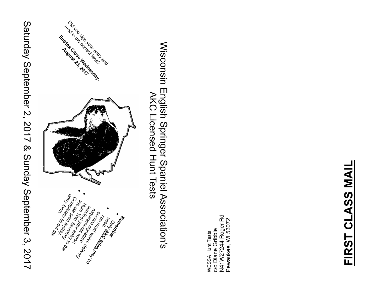Saturday September 2, 2017 & Sunday September 3, 2017 Saturday September 2, 2017 & Sunday September 3, 2017



# Wisconsin English Springer Spaniel Association's Wisconsin English Springer Spaniel Association's AKC Licensed Hunt Tests **AKC Licensed Hunt Tests**

c/o Diane Gribble<br>N41W27244 Roger Rd<br>Pewaukee, WI 53072 N41W27244 Roger Rd Pewaukee, WI 53072 c/o Diane Gribble WESSA Hunt Tests WESSA Hunt Tests

# **FIRST CLASS MAIL FIRST CLASS MAIL**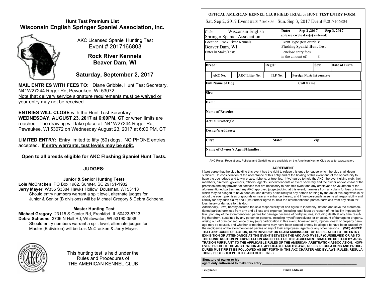## **Hunt Test Premium List Wisconsin English Springer Spaniel Association, Inc.**



AKC Licensed Spaniel Hunting Test Event # 2017166803

# **Rock River Kennels Beaver Dam, WI**

# **Saturday, September 2, 2017**

**MAIL ENTRIES WITH FEES TO:** Diane Gribble, Hunt Test Secretary, N41W27244 Roger Rd, Pewaukee, WI 53072 Note that delivery service signature requirements must be waived or your entry may not be received.

**ENTRIES WILL CLOSE** with the Hunt Test Secretary **WEDNESDAY, AUGUST 23, 2017 at 6:00PM, CT** or when limits are reached. The drawing will take place at N41W27244 Roger Rd, Pewaukee, WI 53072 on Wednesday August 23, 2017 at 6:00 PM, CT

**LIMITED ENTRY:** Entry limited to fifty (50) dogs. NO PHONE entries accepted. **If entry warrants, test levels may be split.**

**Open to all breeds eligible for AKC Flushing Spaniel Hunt Tests.**

## **JUDGES:**

## **Junior & Senior Hunting Tests**

**Lois McCracken** PO Box 1982, Sumter, SC 29151-1982 **Jerry Mayer** W355 S3384 Hawks Hollow, Dousman, WI 53118 Should entry numbers warrant a spilt level, alternate judges for Junior & Senior (B divisions) will be Michael Gregory & Debra Schoene.

## **Master Hunting Test**

**Michael Gregory** 23115 S Center Rd, Frankfort, IL 60423-8713 **Debra Schoene** 3706 N Hall Rd, Whitewater, WI 53190-3538 Should entry numbers warrant a split level, alternate judges for Master (B division) will be Lois McCracken & Jerry Mayer.



This hunting test is held under the Rules and Procedures of THE AMERICAN KENNEL CLUB

### **OFFICAL AMERICAN KENNEL CLUB FIELD TRIAL or HUNT TEST ENTRY FORM**

Sat. Sep 2, 2017 Event #2017166803 Sun. Sep 3, 2017 Event #2017166804

| Date:<br>Sep 2,2017<br>Sep 3, 2017            |  |  |
|-----------------------------------------------|--|--|
| (please circle day(s) entered)                |  |  |
| Event Type (test or trial):                   |  |  |
| <b>Flushing Spaniel Hunt Test</b>             |  |  |
| enclose entry fees<br>in the amount of:<br>\$ |  |  |
| $Reg.*:$<br>Sex:<br>Date of Birth             |  |  |
| ILP No.<br>Foreign No.& list country:         |  |  |
| Call Name:                                    |  |  |
|                                               |  |  |
|                                               |  |  |
|                                               |  |  |
|                                               |  |  |
|                                               |  |  |
| State:<br>Zip:                                |  |  |
|                                               |  |  |
|                                               |  |  |

#### **AGREEMENT**

I (we) agree that the club holding this event has the right to refuse this entry for cause which the club shall deem sufficient. In consideration of the acceptance of this entry and of the holding of this event and of the opportunity to have the dog judged and to win prizes, ribbons, or trophies. I (we) agree to hold the AKC, the event-giving club, their members, directors, governors, officers, agents, superintendents or event secretary and the owner and/or lessor of the premises and any provider of services that are necessary to hold this event and any employees or volunteers of the aforementioned parties, and any AKC approved judge, judging at this event, harmless from any claim for loss or injury which may be alleged to have been caused directly or indirectly to any person or thing by the act of this dog while in or about the event premises or grounds or near any entrance thereto, and I (we) personally assume all responsibility and liability for any such claim; and I (we) further agree to hold the aforementioned parties harmless from any claim for loss, injury or damage to this dog.

Additionally, I (we) hereby assume the sole responsibility for and agree to indemnify, defend and save the aforementioned parties harmless from any and all loss and expense (including legal fees) by reason of the liability imposed by law upon any of the aforementioned parties for damage because of bodily injuries, including death at any time resulting therefrom, sustained by any person or persons, including myself (ourselves), or on account of damage to property, arising out of or in consequence of my (our) participation in this event, however such, injuries, death or property damage may be caused, and whether or not the same may have been caused or may be alleged to have been caused by the negligence of the aforementioned parties or any of their employees, agents or any other persons. **I (WE) AGREE THAT ANY CAUSE OF ACTION, CONTROVERSY OR CLAIM ARISING OUT OF OR RELATED TO THE ENTRY, EXHIBITION OR ATTENDANCE AT THE EVENT BETWEEN THE AKC AND MYSELF (OURSELVES) OR AS TO THE CONSTRUCTION INTERPRETATION AND EFFECT OF THIS AGREEMENT SHALL BE SETTLED BY ARBI-TRATION PURSUANT TO THE APPLICABLE RULES OF THE AMERICAN ARBITRATION ASSOCIATION. HOW-EVER, PRIOR TO THE ARBITRATION ALL APPLICABLE AKC BYLAWS, RULES, REGULATIONS AND PROCE-**DURES MUST FIRST BE FOLLOWED AS SET FORTH IN THE AKC CHARTER AND BYLAWS, RULES, REGULA-**TIONS, PUBLISHED POLICIES AND GUIDELINES.**

**Signature of owner or his** agent duly authorized to make this entry:

**Telephone: Email address:**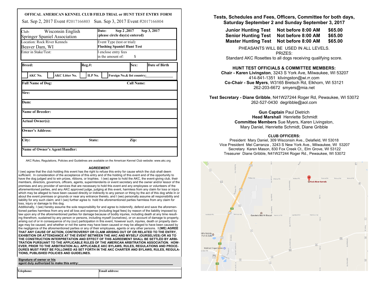#### **OFFICAL AMERICAN KENNEL CLUB FIELD TRIAL or HUNT TEST ENTRY FORM**

Sat. Sep 2, 2017 Event #2017166803 Sun. Sep 3, 2017 Event #2017166804

| Wisconsin English<br>Club:<br><b>Springer Spaniel Association</b> | Date:   | Sep 2,2017<br>Sep 3, 2017<br>(please circle day(s) entered) |  |  |
|-------------------------------------------------------------------|---------|-------------------------------------------------------------|--|--|
| Location: Rock River Kennels                                      |         | Event Type (test or trial):                                 |  |  |
| Beaver Dam, WI                                                    |         | <b>Flushing Spaniel Hunt Test</b>                           |  |  |
| Enter in Stake/Test:                                              |         | I enclose entry fees<br>in the amount of:<br>S              |  |  |
| <b>Breed:</b>                                                     | Reg.#:  | Date of Birth<br>Sex:                                       |  |  |
| <b>AKC</b> Litter No.<br>AKC No.                                  | ILP No. | Foreign No.& list country:                                  |  |  |
| <b>Full Name of Dog:</b>                                          |         | <b>Call Name:</b>                                           |  |  |
| Sire:<br>Dam:                                                     |         |                                                             |  |  |
|                                                                   |         |                                                             |  |  |
| <b>Name of Breeder:</b>                                           |         |                                                             |  |  |
| <b>Actual Owner(s):</b>                                           |         |                                                             |  |  |
| <b>Owner's Address:</b>                                           |         |                                                             |  |  |

AKC Rules, Regulations, Policies and Guidelines are available on the American Kennel Club website: www.akc.org

#### **AGREEMENT**

I (we) agree that the club holding this event has the right to refuse this entry for cause which the club shall deem sufficient. In consideration of the acceptance of this entry and of the holding of this event and of the opportunity to have the dog judged and to win prizes, ribbons, or trophies. I (we) agree to hold the AKC, the event-giving club, their members, directors, governors, officers, agents, superintendents or event secretary and the owner and/or lessor of the premises and any provider of services that are necessary to hold this event and any employees or volunteers of the aforementioned parties, and any AKC approved judge, judging at this event, harmless from any claim for loss or injury which may be alleged to have been caused directly or indirectly to any person or thing by the act of this dog while in or about the event premises or grounds or near any entrance thereto, and I (we) personally assume all responsibility and liability for any such claim; and I (we) further agree to hold the aforementioned parties harmless from any claim for loss, injury or damage to this dog.

Additionally, I (we) hereby assume the sole responsibility for and agree to indemnify, defend and save the aforementioned parties harmless from any and all loss and expense (including legal fees) by reason of the liability imposed by law upon any of the aforementioned parties for damage because of bodily injuries, including death at any time resulting therefrom, sustained by any person or persons, including myself (ourselves), or on account of damage to property, arising out of or in consequence of my (our) participation in this event, however such, injuries, death or property damage may be caused, and whether or not the same may have been caused or may be alleged to have been caused by the negligence of the aforementioned parties or any of their employees, agents or any other persons. **I (WE) AGREE THAT ANY CAUSE OF ACTION, CONTROVERSY OR CLAIM ARISING OUT OF OR RELATED TO THE ENTRY, EXHIBITION OR ATTENDANCE AT THE EVENT BETWEEN THE AKC AND MYSELF (OURSELVES) OR AS TO THE CONSTRUCTION INTERPRETATION AND EFFECT OF THIS AGREEMENT SHALL BE SETTLED BY ARBI-TRATION PURSUANT TO THE APPLICABLE RULES OF THE AMERICAN ARBITRATION ASSOCIATION. HOW-EVER, PRIOR TO THE ARBITRATION ALL APPLICABLE AKC BYLAWS, RULES, REGULATIONS AND PROCE-DURES MUST FIRST BE FOLLOWED AS SET FORTH IN THE AKC CHARTER AND BYLAWS, RULES, REGULA-TIONS, PUBLISHED POLICIES AND GUIDELINES.**

**Signature of owner or his** agent duly authorized to make this entry:

**Telephone: Email address:** 

**Tests, Schedules and Fees, Officers, Committee for both days, Saturday September 2 and Sunday September 3, 2017**

| <b>Junior Hunting Test</b> | Not before 8:00 AM | \$65.00 |
|----------------------------|--------------------|---------|
| <b>Senior Hunting Test</b> | Not before 8:00 AM | \$65.00 |
| <b>Master Hunting Test</b> | Not before 8:00 AM | \$65.00 |

PHEASANTS WILL BE USED IN ALL LEVELS.

PRIZES:

Standard AKC Rosettes to all dogs receiving qualifying score.

#### **HUNT TEST OFFICIALS & COMMITTEE MEMBERS:**

**Chair - Karen Livingston**, 3243 S York Ave, Milwaukee, WI 53207 414-841-1351 klivingston@wi.rr.com **Co-Chair - Sue Myers**, W3165 Bretsch Rd, Elkhorn, WI 53121 262-203-6672 smyers@mia.net

**Test Secretary - Diane Gribble**, N41W27244 Roger Rd, Pewaukee, WI 53072 262-527-0430 degribble@aol.com

> **Gun Captain** Paul Dietrich **Head Marshall** Henriette Schmidt

**Committee Members** Sue Myers, Karen Livingston, Mary Daniel, Henriette Schmidt, Diane Gribble

#### **CLUB OFFICERS:**

President Mary Daniel, 309 Wisconsin Ave., Delafield, WI 53018 Vice President Mel Carranza , 3243 S New York Ave., Milwaukee, WI 53207 Secretary Karen Mason, 830 Fox Creek Ct., Elm Grove, WI 53122 Treasurer Diane Gribble, N41W27244 Roger Rd., Pewaukee, WI 53072